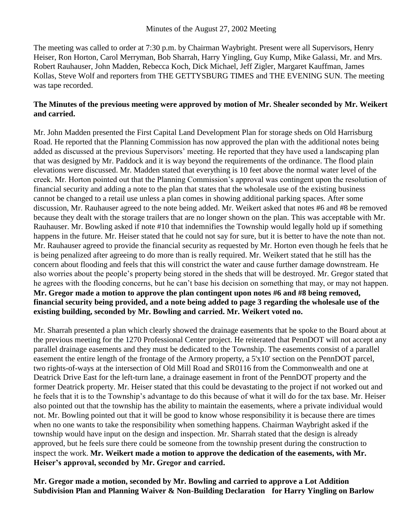The meeting was called to order at 7:30 p.m. by Chairman Waybright. Present were all Supervisors, Henry Heiser, Ron Horton, Carol Merryman, Bob Sharrah, Harry Yingling, Guy Kump, Mike Galassi, Mr. and Mrs. Robert Rauhauser, John Madden, Rebecca Koch, Dick Michael, Jeff Zigler, Margaret Kauffman, James Kollas, Steve Wolf and reporters from THE GETTYSBURG TIMES and THE EVENING SUN. The meeting was tape recorded.

## **The Minutes of the previous meeting were approved by motion of Mr. Shealer seconded by Mr. Weikert and carried.**

Mr. John Madden presented the First Capital Land Development Plan for storage sheds on Old Harrisburg Road. He reported that the Planning Commission has now approved the plan with the additional notes being added as discussed at the previous Supervisors' meeting. He reported that they have used a landscaping plan that was designed by Mr. Paddock and it is way beyond the requirements of the ordinance. The flood plain elevations were discussed. Mr. Madden stated that everything is 10 feet above the normal water level of the creek. Mr. Horton pointed out that the Planning Commission's approval was contingent upon the resolution of financial security and adding a note to the plan that states that the wholesale use of the existing business cannot be changed to a retail use unless a plan comes in showing additional parking spaces. After some discussion, Mr. Rauhauser agreed to the note being added. Mr. Weikert asked that notes #6 and #8 be removed because they dealt with the storage trailers that are no longer shown on the plan. This was acceptable with Mr. Rauhauser. Mr. Bowling asked if note #10 that indemnifies the Township would legally hold up if something happens in the future. Mr. Heiser stated that he could not say for sure, but it is better to have the note than not. Mr. Rauhauser agreed to provide the financial security as requested by Mr. Horton even though he feels that he is being penalized after agreeing to do more than is really required. Mr. Weikert stated that he still has the concern about flooding and feels that this will constrict the water and cause further damage downstream. He also worries about the people's property being stored in the sheds that will be destroyed. Mr. Gregor stated that he agrees with the flooding concerns, but he can't base his decision on something that may, or may not happen. **Mr. Gregor made a motion to approve the plan contingent upon notes #6 and #8 being removed, financial security being provided, and a note being added to page 3 regarding the wholesale use of the existing building, seconded by Mr. Bowling and carried. Mr. Weikert voted no.** 

Mr. Sharrah presented a plan which clearly showed the drainage easements that he spoke to the Board about at the previous meeting for the 1270 Professional Center project. He reiterated that PennDOT will not accept any parallel drainage easements and they must be dedicated to the Township. The easements consist of a parallel easement the entire length of the frontage of the Armory property, a 5'x10' section on the PennDOT parcel, two rights-of-ways at the intersection of Old Mill Road and SR0116 from the Commonwealth and one at Deatrick Drive East for the left-turn lane, a drainage easement in front of the PennDOT property and the former Deatrick property. Mr. Heiser stated that this could be devastating to the project if not worked out and he feels that it is to the Township's advantage to do this because of what it will do for the tax base. Mr. Heiser also pointed out that the township has the ability to maintain the easements, where a private individual would not. Mr. Bowling pointed out that it will be good to know whose responsibility it is because there are times when no one wants to take the responsibility when something happens. Chairman Waybright asked if the township would have input on the design and inspection. Mr. Sharrah stated that the design is already approved, but he feels sure there could be someone from the township present during the construction to inspect the work. **Mr. Weikert made a motion to approve the dedication of the easements, with Mr. Heiser's approval, seconded by Mr. Gregor and carried.**

**Mr. Gregor made a motion, seconded by Mr. Bowling and carried to approve a Lot Addition Subdivision Plan and Planning Waiver & Non-Building Declaration for Harry Yingling on Barlow**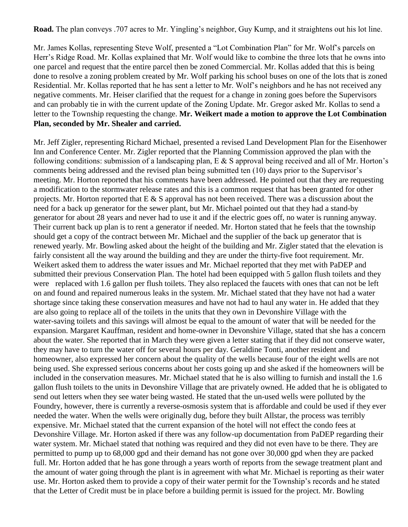**Road.** The plan conveys .707 acres to Mr. Yingling's neighbor, Guy Kump, and it straightens out his lot line.

Mr. James Kollas, representing Steve Wolf, presented a "Lot Combination Plan" for Mr. Wolf's parcels on Herr's Ridge Road. Mr. Kollas explained that Mr. Wolf would like to combine the three lots that he owns into one parcel and request that the entire parcel then be zoned Commercial. Mr. Kollas added that this is being done to resolve a zoning problem created by Mr. Wolf parking his school buses on one of the lots that is zoned Residential. Mr. Kollas reported that he has sent a letter to Mr. Wolf's neighbors and he has not received any negative comments. Mr. Heiser clarified that the request for a change in zoning goes before the Supervisors and can probably tie in with the current update of the Zoning Update. Mr. Gregor asked Mr. Kollas to send a letter to the Township requesting the change. **Mr. Weikert made a motion to approve the Lot Combination Plan, seconded by Mr. Shealer and carried.**

Mr. Jeff Zigler, representing Richard Michael, presented a revised Land Development Plan for the Eisenhower Inn and Conference Center. Mr. Zigler reported that the Planning Commission approved the plan with the following conditions: submission of a landscaping plan, E & S approval being received and all of Mr. Horton's comments being addressed and the revised plan being submitted ten (10) days prior to the Supervisor's meeting. Mr. Horton reported that his comments have been addressed. He pointed out that they are requesting a modification to the stormwater release rates and this is a common request that has been granted for other projects. Mr. Horton reported that E & S approval has not been received. There was a discussion about the need for a back up generator for the sewer plant, but Mr. Michael pointed out that they had a stand-by generator for about 28 years and never had to use it and if the electric goes off, no water is running anyway. Their current back up plan is to rent a generator if needed. Mr. Horton stated that he feels that the township should get a copy of the contract between Mr. Michael and the supplier of the back up generator that is renewed yearly. Mr. Bowling asked about the height of the building and Mr. Zigler stated that the elevation is fairly consistent all the way around the building and they are under the thirty-five foot requirement. Mr. Weikert asked them to address the water issues and Mr. Michael reported that they met with PaDEP and submitted their previous Conservation Plan. The hotel had been equipped with 5 gallon flush toilets and they were replaced with 1.6 gallon per flush toilets. They also replaced the faucets with ones that can not be left on and found and repaired numerous leaks in the system. Mr. Michael stated that they have not had a water shortage since taking these conservation measures and have not had to haul any water in. He added that they are also going to replace all of the toilets in the units that they own in Devonshire Village with the water-saving toilets and this savings will almost be equal to the amount of water that will be needed for the expansion. Margaret Kauffman, resident and home-owner in Devonshire Village, stated that she has a concern about the water. She reported that in March they were given a letter stating that if they did not conserve water, they may have to turn the water off for several hours per day. Geraldine Tonti, another resident and homeowner, also expressed her concern about the quality of the wells because four of the eight wells are not being used. She expressed serious concerns about her costs going up and she asked if the homeowners will be included in the conservation measures. Mr. Michael stated that he is also willing to furnish and install the 1.6 gallon flush toilets to the units in Devonshire Village that are privately owned. He added that he is obligated to send out letters when they see water being wasted. He stated that the un-used wells were polluted by the Foundry, however, there is currently a reverse-osmosis system that is affordable and could be used if they ever needed the water. When the wells were originally dug, before they built Allstar, the process was terribly expensive. Mr. Michael stated that the current expansion of the hotel will not effect the condo fees at Devonshire Village. Mr. Horton asked if there was any follow-up documentation from PaDEP regarding their water system. Mr. Michael stated that nothing was required and they did not even have to be there. They are permitted to pump up to 68,000 gpd and their demand has not gone over 30,000 gpd when they are packed full. Mr. Horton added that he has gone through a years worth of reports from the sewage treatment plant and the amount of water going through the plant is in agreement with what Mr. Michael is reporting as their water use. Mr. Horton asked them to provide a copy of their water permit for the Township's records and he stated that the Letter of Credit must be in place before a building permit is issued for the project. Mr. Bowling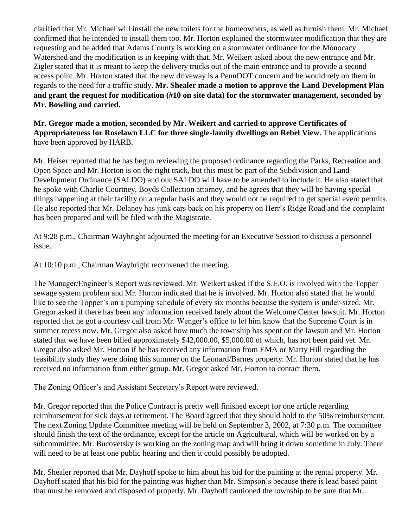clarified that Mr. Michael will install the new toilets for the homeowners, as well as furnish them. Mr. Michael confirmed that he intended to install them too. Mr. Horton explained the stormwater modification that they are requesting and he added that Adams County is working on a stormwater ordinance for the Monocacy Watershed and the modification is in keeping with that. Mr. Weikert asked about the new entrance and Mr. Zigler stated that it is meant to keep the delivery trucks out of the main entrance and to provide a second access point. Mr. Horton stated that the new driveway is a PennDOT concern and he would rely on them in regards to the need for a traffic study. **Mr. Shealer made a motion to approve the Land Development Plan and grant the request for modification (#10 on site data) for the stormwater management, seconded by Mr. Bowling and carried.** 

**Mr. Gregor made a motion, seconded by Mr. Weikert and carried to approve Certificates of Appropriateness for Roselawn LLC for three single-family dwellings on Rebel View.** The applications have been approved by HARB.

Mr. Heiser reported that he has begun reviewing the proposed ordinance regarding the Parks, Recreation and Open Space and Mr. Horton is on the right track, but this must be part of the Subdivision and Land Development Ordinance (SALDO) and our SALDO will have to be amended to include it. He also stated that he spoke with Charlie Courtney, Boyds Collection attorney, and he agrees that they will be having special things happening at their facility on a regular basis and they would not be required to get special event permits. He also reported that Mr. Delaney has junk cars back on his property on Herr's Ridge Road and the complaint has been prepared and will be filed with the Magistrate.

At 9:28 p.m., Chairman Waybright adjourned the meeting for an Executive Session to discuss a personnel issue.

At 10:10 p.m., Chairman Waybright reconvened the meeting.

The Manager/Engineer's Report was reviewed. Mr. Weikert asked if the S.E.O. is involved with the Topper sewage system problem and Mr. Horton indicated that he is involved. Mr. Horton also stated that he would like to see the Topper's on a pumping schedule of every six months because the system is under-sized. Mr. Gregor asked if there has been any information received lately about the Welcome Center lawsuit. Mr. Horton reported that he got a courtesy call from Mr. Wenger's office to let him know that the Supreme Court is in summer recess now. Mr. Gregor also asked how much the township has spent on the lawsuit and Mr. Horton stated that we have been billed approximately \$42,000.00, \$5,000.00 of which, has not been paid yet. Mr. Gregor also asked Mr. Horton if he has received any information from EMA or Marty Hill regarding the feasibility study they were doing this summer on the Leonard/Barnes property. Mr. Horton stated that he has received no information from either group. Mr. Gregor asked Mr. Horton to contact them.

The Zoning Officer's and Assistant Secretary's Report were reviewed.

Mr. Gregor reported that the Police Contract is pretty well finished except for one article regarding reimbursement for sick days at retirement. The Board agreed that they should hold to the 50% reimbursement. The next Zoning Update Committee meeting will be held on September 3, 2002, at 7:30 p.m. The committee should finish the text of the ordinance, except for the article on Agricultural, which will be worked on by a subcommittee. Mr. Bucovetsky is working on the zoning map and will bring it down sometime in July. There will need to be at least one public hearing and then it could possibly be adopted.

Mr. Shealer reported that Mr. Dayhoff spoke to him about his bid for the painting at the rental property. Mr. Dayhoff stated that his bid for the painting was higher than Mr. Simpson's because there is lead based paint that must be removed and disposed of properly. Mr. Dayhoff cautioned the township to be sure that Mr.